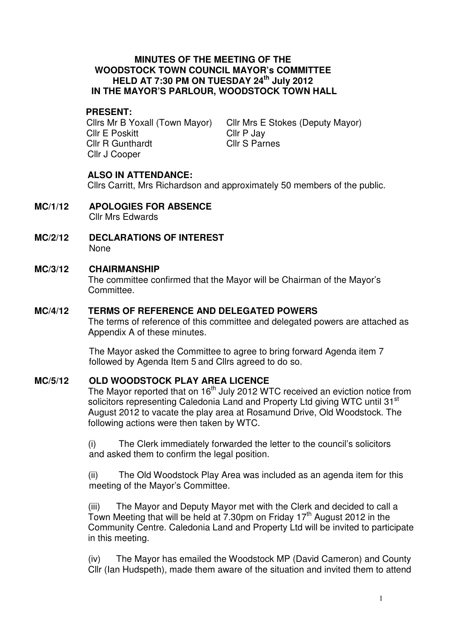#### **MINUTES OF THE MEETING OF THE WOODSTOCK TOWN COUNCIL MAYOR's COMMITTEE HELD AT 7:30 PM ON TUESDAY 24th July 2012 IN THE MAYOR'S PARLOUR, WOODSTOCK TOWN HALL**

# **PRESENT:**

Cllrs Mr B Yoxall (Town Mayor) Cllr E Poskitt Cllr R Gunthardt Cllr J Cooper

Cllr Mrs E Stokes (Deputy Mayor) Cllr P Jay Cllr S Parnes

# **ALSO IN ATTENDANCE:**

Cllrs Carritt, Mrs Richardson and approximately 50 members of the public.

- **MC/1/12 APOLOGIES FOR ABSENCE** Cllr Mrs Edwards
- **MC/2/12 DECLARATIONS OF INTEREST** None

## **MC/3/12 CHAIRMANSHIP**

The committee confirmed that the Mayor will be Chairman of the Mayor's Committee.

#### **MC/4/12 TERMS OF REFERENCE AND DELEGATED POWERS**

The terms of reference of this committee and delegated powers are attached as Appendix A of these minutes.

The Mayor asked the Committee to agree to bring forward Agenda item 7 followed by Agenda Item 5 and Cllrs agreed to do so.

## **MC/5/12 OLD WOODSTOCK PLAY AREA LICENCE**

The Mayor reported that on  $16<sup>th</sup>$  July 2012 WTC received an eviction notice from solicitors representing Caledonia Land and Property Ltd giving WTC until 31<sup>st</sup> August 2012 to vacate the play area at Rosamund Drive, Old Woodstock. The following actions were then taken by WTC.

(i) The Clerk immediately forwarded the letter to the council's solicitors and asked them to confirm the legal position.

(ii) The Old Woodstock Play Area was included as an agenda item for this meeting of the Mayor's Committee.

(iii) The Mayor and Deputy Mayor met with the Clerk and decided to call a Town Meeting that will be held at  $7.30$ pm on Friday 17<sup>th</sup> August 2012 in the Community Centre. Caledonia Land and Property Ltd will be invited to participate in this meeting.

(iv) The Mayor has emailed the Woodstock MP (David Cameron) and County Cllr (Ian Hudspeth), made them aware of the situation and invited them to attend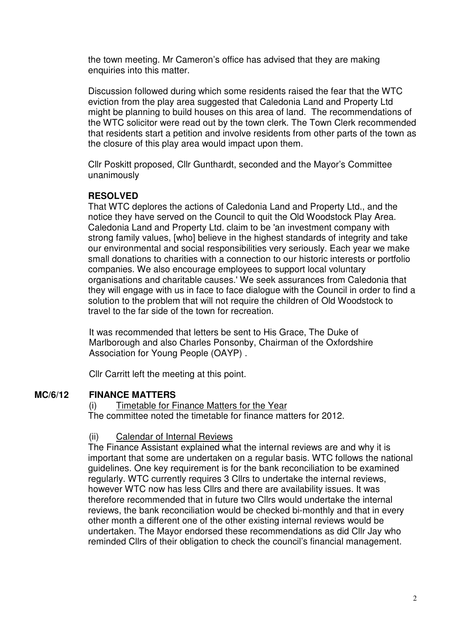the town meeting. Mr Cameron's office has advised that they are making enquiries into this matter.

Discussion followed during which some residents raised the fear that the WTC eviction from the play area suggested that Caledonia Land and Property Ltd might be planning to build houses on this area of land. The recommendations of the WTC solicitor were read out by the town clerk. The Town Clerk recommended that residents start a petition and involve residents from other parts of the town as the closure of this play area would impact upon them.

Cllr Poskitt proposed, Cllr Gunthardt, seconded and the Mayor's Committee unanimously

## **RESOLVED**

That WTC deplores the actions of Caledonia Land and Property Ltd., and the notice they have served on the Council to quit the Old Woodstock Play Area. Caledonia Land and Property Ltd. claim to be 'an investment company with strong family values, [who] believe in the highest standards of integrity and take our environmental and social responsibilities very seriously. Each year we make small donations to charities with a connection to our historic interests or portfolio companies. We also encourage employees to support local voluntary organisations and charitable causes.' We seek assurances from Caledonia that they will engage with us in face to face dialogue with the Council in order to find a solution to the problem that will not require the children of Old Woodstock to travel to the far side of the town for recreation.

It was recommended that letters be sent to His Grace, The Duke of Marlborough and also Charles Ponsonby, Chairman of the Oxfordshire Association for Young People (OAYP) .

Cllr Carritt left the meeting at this point.

## **MC/6/12 FINANCE MATTERS**

(i) Timetable for Finance Matters for the Year The committee noted the timetable for finance matters for 2012.

## (ii) Calendar of Internal Reviews

The Finance Assistant explained what the internal reviews are and why it is important that some are undertaken on a regular basis. WTC follows the national guidelines. One key requirement is for the bank reconciliation to be examined regularly. WTC currently requires 3 Cllrs to undertake the internal reviews, however WTC now has less Cllrs and there are availability issues. It was therefore recommended that in future two Cllrs would undertake the internal reviews, the bank reconciliation would be checked bi-monthly and that in every other month a different one of the other existing internal reviews would be undertaken. The Mayor endorsed these recommendations as did Cllr Jay who reminded Cllrs of their obligation to check the council's financial management.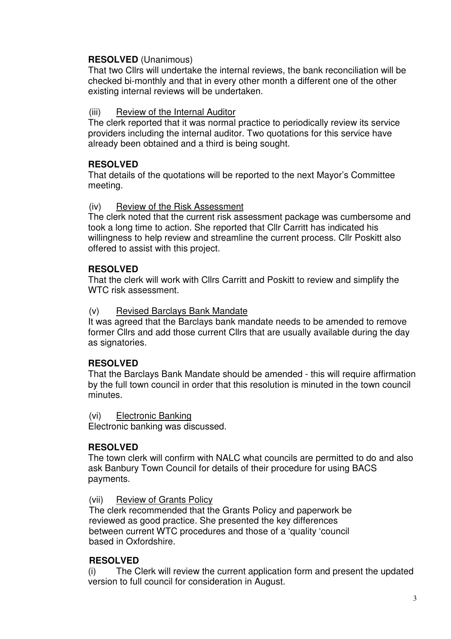# **RESOLVED** (Unanimous)

That two Cllrs will undertake the internal reviews, the bank reconciliation will be checked bi-monthly and that in every other month a different one of the other existing internal reviews will be undertaken.

# (iii) Review of the Internal Auditor

The clerk reported that it was normal practice to periodically review its service providers including the internal auditor. Two quotations for this service have already been obtained and a third is being sought.

# **RESOLVED**

That details of the quotations will be reported to the next Mayor's Committee meeting.

# (iv) Review of the Risk Assessment

The clerk noted that the current risk assessment package was cumbersome and took a long time to action. She reported that Cllr Carritt has indicated his willingness to help review and streamline the current process. Cllr Poskitt also offered to assist with this project.

# **RESOLVED**

That the clerk will work with Cllrs Carritt and Poskitt to review and simplify the WTC risk assessment.

## (v) Revised Barclays Bank Mandate

It was agreed that the Barclays bank mandate needs to be amended to remove former Cllrs and add those current Cllrs that are usually available during the day as signatories.

# **RESOLVED**

That the Barclays Bank Mandate should be amended - this will require affirmation by the full town council in order that this resolution is minuted in the town council minutes.

(vi) Electronic Banking

Electronic banking was discussed.

# **RESOLVED**

The town clerk will confirm with NALC what councils are permitted to do and also ask Banbury Town Council for details of their procedure for using BACS payments.

## (vii) Review of Grants Policy

The clerk recommended that the Grants Policy and paperwork be reviewed as good practice. She presented the key differences between current WTC procedures and those of a 'quality 'council based in Oxfordshire.

## **RESOLVED**

(i) The Clerk will review the current application form and present the updated version to full council for consideration in August.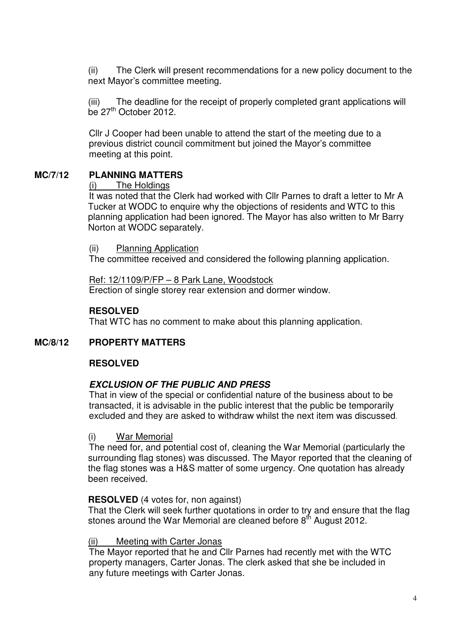(ii) The Clerk will present recommendations for a new policy document to the next Mayor's committee meeting.

(iii) The deadline for the receipt of properly completed grant applications will be 27<sup>th</sup> October 2012.

Cllr J Cooper had been unable to attend the start of the meeting due to a previous district council commitment but joined the Mayor's committee meeting at this point.

# **MC/7/12 PLANNING MATTERS**

#### (i) The Holdings

It was noted that the Clerk had worked with Cllr Parnes to draft a letter to Mr A Tucker at WODC to enquire why the objections of residents and WTC to this planning application had been ignored. The Mayor has also written to Mr Barry Norton at WODC separately.

#### (ii) Planning Application

The committee received and considered the following planning application.

Ref: 12/1109/P/FP – 8 Park Lane, Woodstock Erection of single storey rear extension and dormer window.

## **RESOLVED**

That WTC has no comment to make about this planning application.

# **MC/8/12 PROPERTY MATTERS**

## **RESOLVED**

## **EXCLUSION OF THE PUBLIC AND PRESS**

That in view of the special or confidential nature of the business about to be transacted, it is advisable in the public interest that the public be temporarily excluded and they are asked to withdraw whilst the next item was discussed.

#### (i) War Memorial

The need for, and potential cost of, cleaning the War Memorial (particularly the surrounding flag stones) was discussed. The Mayor reported that the cleaning of the flag stones was a H&S matter of some urgency. One quotation has already been received.

## **RESOLVED** (4 votes for, non against)

That the Clerk will seek further quotations in order to try and ensure that the flag stones around the War Memorial are cleaned before 8<sup>th</sup> August 2012.

#### (ii) Meeting with Carter Jonas

The Mayor reported that he and Cllr Parnes had recently met with the WTC property managers, Carter Jonas. The clerk asked that she be included in any future meetings with Carter Jonas.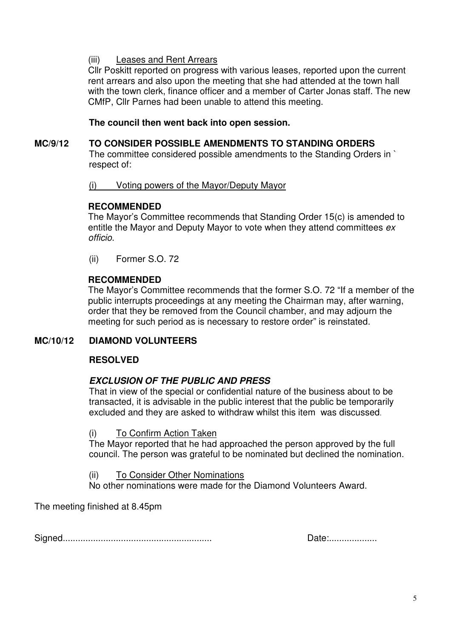# (iii) Leases and Rent Arrears

Cllr Poskitt reported on progress with various leases, reported upon the current rent arrears and also upon the meeting that she had attended at the town hall with the town clerk, finance officer and a member of Carter Jonas staff. The new CMfP, Cllr Parnes had been unable to attend this meeting.

# **The council then went back into open session.**

# **MC/9/12 TO CONSIDER POSSIBLE AMENDMENTS TO STANDING ORDERS**

The committee considered possible amendments to the Standing Orders in ` respect of:

(i) Voting powers of the Mayor/Deputy Mayor

## **RECOMMENDED**

The Mayor's Committee recommends that Standing Order 15(c) is amended to entitle the Mayor and Deputy Mayor to vote when they attend committees ex officio.

(ii) Former S.O. 72

# **RECOMMENDED**

The Mayor's Committee recommends that the former S.O. 72 "If a member of the public interrupts proceedings at any meeting the Chairman may, after warning, order that they be removed from the Council chamber, and may adjourn the meeting for such period as is necessary to restore order" is reinstated.

## **MC/10/12 DIAMOND VOLUNTEERS**

## **RESOLVED**

## **EXCLUSION OF THE PUBLIC AND PRESS**

That in view of the special or confidential nature of the business about to be transacted, it is advisable in the public interest that the public be temporarily excluded and they are asked to withdraw whilst this item was discussed.

#### (i) To Confirm Action Taken

The Mayor reported that he had approached the person approved by the full council. The person was grateful to be nominated but declined the nomination.

(ii) To Consider Other Nominations

No other nominations were made for the Diamond Volunteers Award.

The meeting finished at 8.45pm

Signed........................................................... Date:...................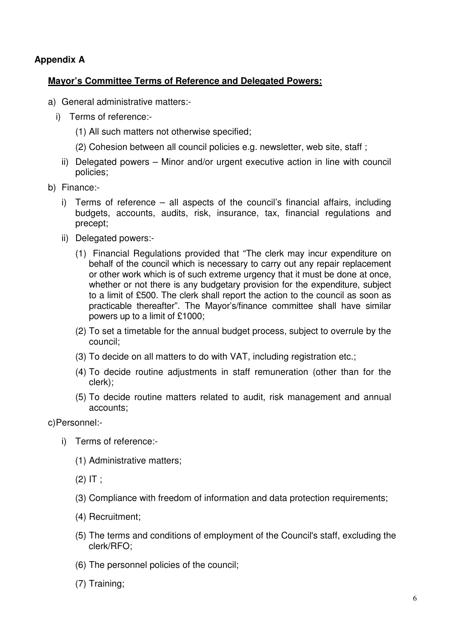# **Appendix A**

# **Mayor's Committee Terms of Reference and Delegated Powers:**

- a) General administrative matters:
	- i) Terms of reference:-
		- (1) All such matters not otherwise specified;
		- (2) Cohesion between all council policies e.g. newsletter, web site, staff ;
		- ii) Delegated powers Minor and/or urgent executive action in line with council policies;
- b) Finance:
	- i) Terms of reference all aspects of the council's financial affairs, including budgets, accounts, audits, risk, insurance, tax, financial regulations and precept;
	- ii) Delegated powers:-
		- (1) Financial Regulations provided that "The clerk may incur expenditure on behalf of the council which is necessary to carry out any repair replacement or other work which is of such extreme urgency that it must be done at once, whether or not there is any budgetary provision for the expenditure, subject to a limit of £500. The clerk shall report the action to the council as soon as practicable thereafter". The Mayor's/finance committee shall have similar powers up to a limit of £1000;
		- (2) To set a timetable for the annual budget process, subject to overrule by the council;
		- (3) To decide on all matters to do with VAT, including registration etc.;
		- (4) To decide routine adjustments in staff remuneration (other than for the clerk);
		- (5) To decide routine matters related to audit, risk management and annual accounts;

c) Personnel:-

- i) Terms of reference:-
	- (1) Administrative matters;
	- $(2)$  IT :
	- (3) Compliance with freedom of information and data protection requirements;
	- (4) Recruitment;
	- (5) The terms and conditions of employment of the Council's staff, excluding the clerk/RFO;
	- (6) The personnel policies of the council;
	- (7) Training;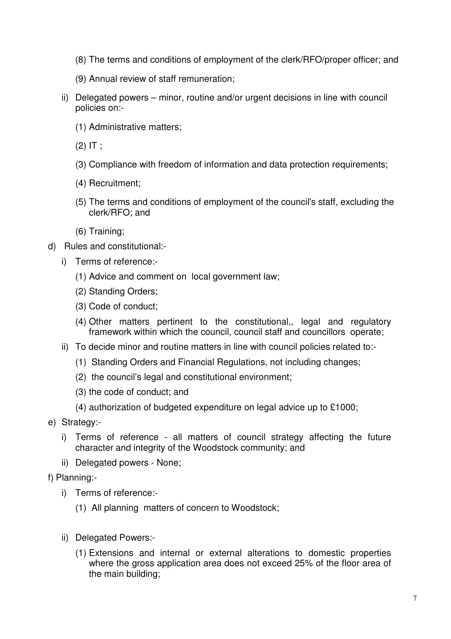- (8) The terms and conditions of employment of the clerk/RFO/proper officer; and
- (9) Annual review of staff remuneration;
- ii) Delegated powers minor, routine and/or urgent decisions in line with council policies on:-
	- (1) Administrative matters;
	- $(2)$  IT ;
	- (3) Compliance with freedom of information and data protection requirements;
	- (4) Recruitment;
	- (5) The terms and conditions of employment of the council's staff, excluding the clerk/RFO; and
	- (6) Training;
- d) Rules and constitutional:
	- i) Terms of reference:-
		- (1) Advice and comment on local government law;
		- (2) Standing Orders;
		- (3) Code of conduct;
		- (4) Other matters pertinent to the constitutional,, legal and regulatory framework within which the council, council staff and councillors operate;
	- ii) To decide minor and routine matters in line with council policies related to:-
		- (1) Standing Orders and Financial Regulations, not including changes;
		- (2) the council's legal and constitutional environment;
		- (3) the code of conduct; and
		- (4) authorization of budgeted expenditure on legal advice up to £1000;
- e) Strategy:
	- i) Terms of reference all matters of council strategy affecting the future character and integrity of the Woodstock community; and
	- ii) Delegated powers None;
- f) Planning:
	- i) Terms of reference:-
		- (1) All planning matters of concern to Woodstock;
	- ii) Delegated Powers:-
		- (1) Extensions and internal or external alterations to domestic properties where the gross application area does not exceed 25% of the floor area of the main building;